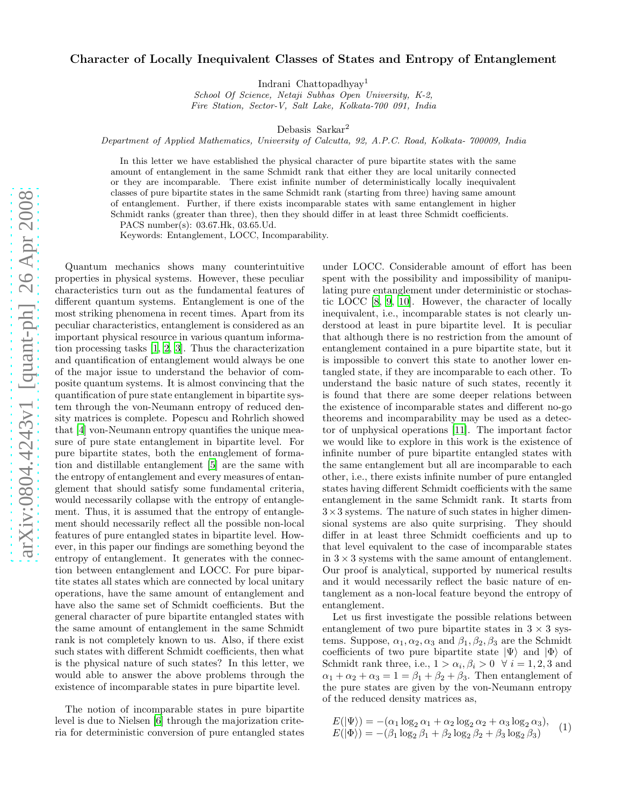## Character of Locally Inequivalent Classes of States and Entropy of Entanglement

Indrani Chattopadhyay<sup>1</sup>

School Of Science, Netaji Subhas Open University, K-2, Fire Station, Sector-V, Salt Lake, Kolkata-700 091, India

Debasis Sarkar<sup>2</sup>

Department of Applied Mathematics, University of Calcutta, 92, A.P.C. Road, Kolkata- 700009, India

In this letter we have established the physical character of pure bipartite states with the same amount of entanglement in the same Schmidt rank that either they are local unitarily connected or they are incomparable. There exist infinite number of deterministically locally inequivalent classes of pure bipartite states in the same Schmidt rank (starting from three) having same amount of entanglement. Further, if there exists incomparable states with same entanglement in higher Schmidt ranks (greater than three), then they should differ in at least three Schmidt coefficients.

PACS number(s): 03.67.Hk, 03.65.Ud.

Keywords: Entanglement, LOCC, Incomparability.

Quantum mechanics shows many counterintuitive properties in physical systems. However, these peculiar characteristics turn out as the fundamental features of different quantum systems. Entanglement is one of the most striking phenomena in recent times. Apart from its peculiar characteristics, entanglement is considered as an important physical resource in various quantum information processing tasks [\[1](#page-3-0), [2](#page-3-1), [3](#page-3-2)]. Thus the characterization and quantification of entanglement would always be one of the major issue to understand the behavior of composite quantum systems. It is almost convincing that the quantification of pure state entanglement in bipartite system through the von-Neumann entropy of reduced density matrices is complete. Popescu and Rohrlich showed that [\[4\]](#page-3-3) von-Neumann entropy quantifies the unique measure of pure state entanglement in bipartite level. For pure bipartite states, both the entanglement of formation and distillable entanglement [\[5\]](#page-3-4) are the same with the entropy of entanglement and every measures of entanglement that should satisfy some fundamental criteria, would necessarily collapse with the entropy of entanglement. Thus, it is assumed that the entropy of entanglement should necessarily reflect all the possible non-local features of pure entangled states in bipartite level. However, in this paper our findings are something beyond the entropy of entanglement. It generates with the connection between entanglement and LOCC. For pure bipartite states all states which are connected by local unitary operations, have the same amount of entanglement and have also the same set of Schmidt coefficients. But the general character of pure bipartite entangled states with the same amount of entanglement in the same Schmidt rank is not completely known to us. Also, if there exist such states with different Schmidt coefficients, then what is the physical nature of such states? In this letter, we would able to answer the above problems through the existence of incomparable states in pure bipartite level.

The notion of incomparable states in pure bipartite level is due to Nielsen [\[6](#page-3-5)] through the majorization criteria for deterministic conversion of pure entangled states

under LOCC. Considerable amount of effort has been spent with the possibility and impossibility of manipulating pure entanglement under deterministic or stochastic LOCC [\[8,](#page-3-6) [9,](#page-3-7) [10](#page-3-8)]. However, the character of locally inequivalent, i.e., incomparable states is not clearly understood at least in pure bipartite level. It is peculiar that although there is no restriction from the amount of entanglement contained in a pure bipartite state, but it is impossible to convert this state to another lower entangled state, if they are incomparable to each other. To understand the basic nature of such states, recently it is found that there are some deeper relations between the existence of incomparable states and different no-go theorems and incomparability may be used as a detector of unphysical operations [\[11\]](#page-3-9). The important factor we would like to explore in this work is the existence of infinite number of pure bipartite entangled states with the same entanglement but all are incomparable to each other, i.e., there exists infinite number of pure entangled states having different Schmidt coefficients with the same entanglement in the same Schmidt rank. It starts from  $3\times3$  systems. The nature of such states in higher dimensional systems are also quite surprising. They should differ in at least three Schmidt coefficients and up to that level equivalent to the case of incomparable states in  $3 \times 3$  systems with the same amount of entanglement. Our proof is analytical, supported by numerical results and it would necessarily reflect the basic nature of entanglement as a non-local feature beyond the entropy of entanglement.

Let us first investigate the possible relations between entanglement of two pure bipartite states in  $3 \times 3$  systems. Suppose,  $\alpha_1, \alpha_2, \alpha_3$  and  $\beta_1, \beta_2, \beta_3$  are the Schmidt coefficients of two pure bipartite state  $|\Psi\rangle$  and  $|\Phi\rangle$  of Schmidt rank three, i.e.,  $1 > \alpha_i, \beta_i > 0 \ \ \forall \ i = 1, 2, 3$  and  $\alpha_1 + \alpha_2 + \alpha_3 = 1 = \beta_1 + \beta_2 + \beta_3$ . Then entanglement of the pure states are given by the von-Neumann entropy of the reduced density matrices as,

$$
E(|\Psi\rangle) = -(\alpha_1 \log_2 \alpha_1 + \alpha_2 \log_2 \alpha_2 + \alpha_3 \log_2 \alpha_3),
$$
  
\n
$$
E(|\Phi\rangle) = -(\beta_1 \log_2 \beta_1 + \beta_2 \log_2 \beta_2 + \beta_3 \log_2 \beta_3)
$$
 (1)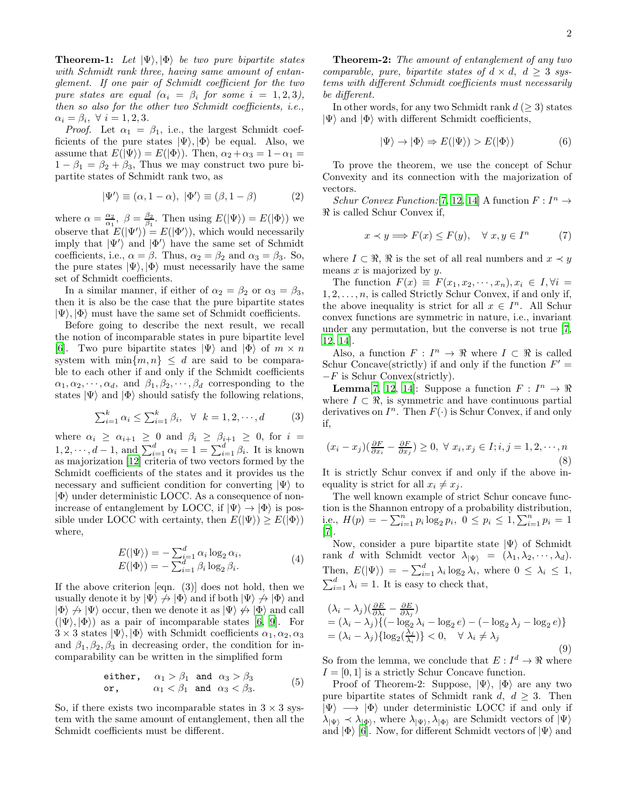**Theorem-1:** Let  $|\Psi\rangle, |\Phi\rangle$  be two pure bipartite states with Schmidt rank three, having same amount of entanglement. If one pair of Schmidt coefficient for the two pure states are equal  $(\alpha_i = \beta_i)$  for some  $i = 1, 2, 3$ ), then so also for the other two Schmidt coefficients, i.e.,  $\alpha_i = \beta_i, \ \forall \ i = 1, 2, 3.$ 

*Proof.* Let  $\alpha_1 = \beta_1$ , i.e., the largest Schmidt coefficients of the pure states  $|\Psi\rangle, |\Phi\rangle$  be equal. Also, we assume that  $E(|\Psi\rangle) = E(|\Phi\rangle)$ . Then,  $\alpha_2 + \alpha_3 = 1 - \alpha_1 =$  $1 - \beta_1 = \beta_2 + \beta_3$ , Thus we may construct two pure bipartite states of Schmidt rank two, as

$$
|\Psi'\rangle \equiv (\alpha, 1 - \alpha), \ |\Phi'\rangle \equiv (\beta, 1 - \beta) \tag{2}
$$

where  $\alpha = \frac{\alpha_2}{\alpha_1}$ ,  $\beta = \frac{\beta_2}{\beta_1}$ . Then using  $E(|\Psi\rangle) = E(|\Phi\rangle)$  we observe that  $E(|\Psi'\rangle) = E(|\Phi'\rangle)$ , which would necessarily imply that  $|\Psi'\rangle$  and  $|\Phi'\rangle$  have the same set of Schmidt coefficients, i.e.,  $\alpha = \beta$ . Thus,  $\alpha_2 = \beta_2$  and  $\alpha_3 = \beta_3$ . So, the pure states  $|\Psi\rangle, |\Phi\rangle$  must necessarily have the same set of Schmidt coefficients.

In a similar manner, if either of  $\alpha_2 = \beta_2$  or  $\alpha_3 = \beta_3$ , then it is also be the case that the pure bipartite states  $|\Psi\rangle, |\Phi\rangle$  must have the same set of Schmidt coefficients.

Before going to describe the next result, we recall the notion of incomparable states in pure bipartite level [\[6\]](#page-3-5). Two pure bipartite states  $|\Psi\rangle$  and  $|\Phi\rangle$  of  $m \times n$ system with  $\min\{m, n\} \leq d$  are said to be comparable to each other if and only if the Schmidt coefficients  $\alpha_1, \alpha_2, \cdots, \alpha_d$ , and  $\beta_1, \beta_2, \cdots, \beta_d$  corresponding to the states  $|\Psi\rangle$  and  $|\Phi\rangle$  should satisfy the following relations,

$$
\sum_{i=1}^{k} \alpha_i \le \sum_{i=1}^{k} \beta_i, \quad \forall \quad k = 1, 2, \cdots, d \tag{3}
$$

where  $\alpha_i \geq \alpha_{i+1} \geq 0$  and  $\beta_i \geq \beta_{i+1} \geq 0$ , for  $i =$  $1, 2, \dots, d-1$ , and  $\sum_{i=1}^{d} \alpha_i = 1 = \sum_{i=1}^{d} \beta_i$ . It is known as majorization [\[12\]](#page-3-10) criteria of two vectors formed by the Schmidt coefficients of the states and it provides us the necessary and sufficient condition for converting  $|\Psi\rangle$  to  $|\Phi\rangle$  under deterministic LOCC. As a consequence of nonincrease of entanglement by LOCC, if  $|\Psi\rangle \rightarrow |\Phi\rangle$  is possible under LOCC with certainty, then  $E(|\Psi\rangle) \ge E(|\Phi\rangle)$ where,

$$
E(|\Psi\rangle) = -\sum_{i=1}^{d} \alpha_i \log_2 \alpha_i,
$$
  
\n
$$
E(|\Phi\rangle) = -\sum_{i=1}^{d} \beta_i \log_2 \beta_i.
$$
 (4)

If the above criterion [eqn. (3)] does not hold, then we usually denote it by  $|\Psi\rangle \nrightarrow |\Phi\rangle$  and if both  $|\Psi\rangle \nrightarrow |\Phi\rangle$  and  $|\Phi\rangle \nrightarrow |\Psi\rangle$  occur, then we denote it as  $|\Psi\rangle \nrightarrow |\Phi\rangle$  and call  $(|\Psi\rangle, |\Phi\rangle)$  as a pair of incomparable states [\[6,](#page-3-5) [9](#page-3-7)]. For  $3 \times 3$  states  $|\Psi\rangle, |\Phi\rangle$  with Schmidt coefficients  $\alpha_1, \alpha_2, \alpha_3$ and  $\beta_1, \beta_2, \beta_3$  in decreasing order, the condition for incomparability can be written in the simplified form

either, 
$$
\alpha_1 > \beta_1
$$
 and  $\alpha_3 > \beta_3$   
or,  $\alpha_1 < \beta_1$  and  $\alpha_3 < \beta_3$ . (5)

So, if there exists two incomparable states in  $3 \times 3$  system with the same amount of entanglement, then all the Schmidt coefficients must be different.

Theorem-2: The amount of entanglement of any two comparable, pure, bipartite states of  $d \times d$ ,  $d \geq 3$  systems with different Schmidt coefficients must necessarily be different.

In other words, for any two Schmidt rank  $d \geq 3$ ) states  $|\Psi\rangle$  and  $|\Phi\rangle$  with different Schmidt coefficients,

$$
|\Psi\rangle \to |\Phi\rangle \Rightarrow E(|\Psi\rangle) > E(|\Phi\rangle)
$$
 (6)

To prove the theorem, we use the concept of Schur Convexity and its connection with the majorization of vectors.

Schur Convex Function: [\[7,](#page-3-11) [12,](#page-3-10) [14](#page-3-12)] A function  $F: I^n \to$ ℜ is called Schur Convex if,

$$
x \prec y \Longrightarrow F(x) \le F(y), \quad \forall \ x, y \in I^n \tag{7}
$$

where  $I \subset \mathbb{R}$ ,  $\mathbb{R}$  is the set of all real numbers and  $x \prec y$ means  $x$  is majorized by  $y$ .

The function  $F(x) \equiv F(x_1, x_2, \dots, x_n), x_i \in I, \forall i =$  $1, 2, \ldots, n$ , is called Strictly Schur Convex, if and only if, the above inequality is strict for all  $x \in I<sup>n</sup>$ . All Schur convex functions are symmetric in nature, i.e., invariant under any permutation, but the converse is not true [\[7](#page-3-11), [12](#page-3-10), [14](#page-3-12)].

Also, a function  $F: I^n \to \mathbb{R}$  where  $I \subset \mathbb{R}$  is called Schur Concave(strictly) if and only if the function  $F' =$ −F is Schur Convex(strictly).

**Lemma**[\[7,](#page-3-11) [12,](#page-3-10) [14\]](#page-3-12): Suppose a function  $F: I^n \to \Re$ where  $I \subset \Re$ , is symmetric and have continuous partial derivatives on  $I^n$ . Then  $F(\cdot)$  is Schur Convex, if and only if,

$$
(x_i - x_j)(\frac{\partial F}{\partial x_i} - \frac{\partial F}{\partial x_j}) \ge 0, \ \forall \ x_i, x_j \in I; i, j = 1, 2, \cdots, n
$$
\n(8)

It is strictly Schur convex if and only if the above inequality is strict for all  $x_i \neq x_j$ .

The well known example of strict Schur concave function is the Shannon entropy of a probability distribution, i.e.,  $H(p) = -\sum_{i=1}^{n} p_i \log_2 p_i$ ,  $0 \le p_i \le 1, \sum_{i=1}^{n} p_i = 1$ [\[7\]](#page-3-11).

Now, consider a pure bipartite state  $|\Psi\rangle$  of Schmidt rank d with Schmidt vector  $\lambda_{|\Psi\rangle} = (\lambda_1, \lambda_2, \cdots, \lambda_d)$ . Then,  $E(|\Psi\rangle) = -\sum_{i=1}^d \lambda_i \log_2 \lambda_i$ , where  $0 \leq \lambda_i \leq 1$ ,  $\sum_{i=1}^{d} \lambda_i = 1$ . It is easy to check that,

$$
(\lambda_i - \lambda_j) \left( \frac{\partial E}{\partial \lambda_i} - \frac{\partial E}{\partial \lambda_j} \right)
$$
  
=  $(\lambda_i - \lambda_j) \{ (-\log_2 \lambda_i - \log_2 e) - (-\log_2 \lambda_j - \log_2 e) \}$   
=  $(\lambda_i - \lambda_j) \{ \log_2(\frac{\lambda_j}{\lambda_i}) \} < 0, \quad \forall \lambda_i \neq \lambda_j$  (9)

So from the lemma, we conclude that  $E: I^d \to \mathbb{R}$  where  $I = [0, 1]$  is a strictly Schur Concave function.

Proof of Theorem-2: Suppose,  $|\Psi\rangle$ ,  $|\Phi\rangle$  are any two pure bipartite states of Schmidt rank  $d, d > 3$ . Then  $|\Psi\rangle \rightarrow |\Phi\rangle$  under deterministic LOCC if and only if  $\lambda_{|\Psi\rangle} \prec \lambda_{|\Phi\rangle}$ , where  $\lambda_{|\Psi\rangle}$ ,  $\lambda_{|\Phi\rangle}$  are Schmidt vectors of  $|\Psi\rangle$ and  $|\Phi\rangle$  [\[6\]](#page-3-5). Now, for different Schmidt vectors of  $|\Psi\rangle$  and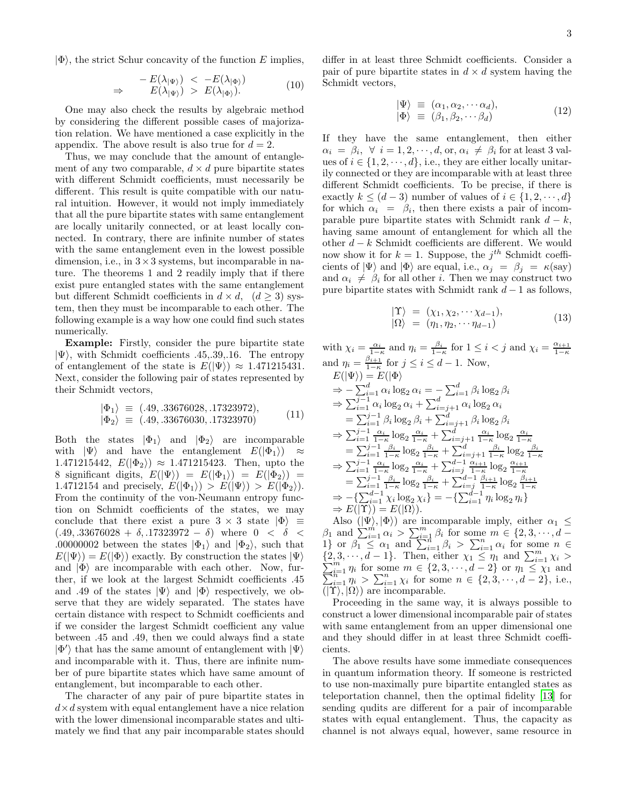$|\Phi\rangle$ , the strict Schur concavity of the function E implies,

$$
\Rightarrow \qquad -E(\lambda_{|\Psi\rangle}) \le -E(\lambda_{|\Phi\rangle})
$$
\n
$$
\Rightarrow \qquad E(\lambda_{|\Psi\rangle}) \ge E(\lambda_{|\Phi\rangle}). \tag{10}
$$

One may also check the results by algebraic method by considering the different possible cases of majorization relation. We have mentioned a case explicitly in the appendix. The above result is also true for  $d = 2$ .

Thus, we may conclude that the amount of entanglement of any two comparable,  $d \times d$  pure bipartite states with different Schmidt coefficients, must necessarily be different. This result is quite compatible with our natural intuition. However, it would not imply immediately that all the pure bipartite states with same entanglement are locally unitarily connected, or at least locally connected. In contrary, there are infinite number of states with the same entanglement even in the lowest possible dimension, i.e., in  $3 \times 3$  systems, but incomparable in nature. The theorems 1 and 2 readily imply that if there exist pure entangled states with the same entanglement but different Schmidt coefficients in  $d \times d$ ,  $(d \geq 3)$  system, then they must be incomparable to each other. The following example is a way how one could find such states numerically.

Example: Firstly, consider the pure bipartite state  $|\Psi\rangle$ , with Schmidt coefficients .45,.39,.16. The entropy of entanglement of the state is  $E(|\Psi\rangle) \approx 1.471215431$ . Next, consider the following pair of states represented by their Schmidt vectors,

$$
\begin{array}{rcl} |\Phi_1\rangle \equiv (0.49, 0.33676028, 0.17323972), \\ |\Phi_2\rangle \equiv (0.49, 0.33676030, 0.17323970) \end{array} \tag{11}
$$

Both the states  $|\Phi_1\rangle$  and  $|\Phi_2\rangle$  are incomparable with  $|\Psi\rangle$  and have the entanglement  $E(|\Phi_1\rangle) \approx$ 1.471215442,  $E(|\Phi_2\rangle) \approx 1.471215423$ . Then, upto the 8 significant digits,  $E(|\Psi\rangle) = E(|\Phi_1\rangle) = E(|\Phi_2\rangle) =$ 1.4712154 and precisely,  $E(|\Phi_1\rangle) > E(|\Psi\rangle) > E(|\Phi_2\rangle)$ . From the continuity of the von-Neumann entropy function on Schmidt coefficients of the states, we may conclude that there exist a pure  $3 \times 3$  state  $|\Phi\rangle \equiv$  $(.49, .33676028 + \delta, .17323972 - \delta)$  where  $0 < \delta <$ .00000002 between the states  $|\Phi_1\rangle$  and  $|\Phi_2\rangle$ , such that  $E(|\Psi\rangle) = E(|\Phi\rangle)$  exactly. By construction the states  $|\Psi\rangle$ and  $|\Phi\rangle$  are incomparable with each other. Now, further, if we look at the largest Schmidt coefficients .45 and .49 of the states  $|\Psi\rangle$  and  $|\Phi\rangle$  respectively, we observe that they are widely separated. The states have certain distance with respect to Schmidt coefficients and if we consider the largest Schmidt coefficient any value between .45 and .49, then we could always find a state  $|\Phi'\rangle$  that has the same amount of entanglement with  $|\Psi\rangle$ and incomparable with it. Thus, there are infinite number of pure bipartite states which have same amount of entanglement, but incomparable to each other.

The character of any pair of pure bipartite states in  $d \times d$  system with equal entanglement have a nice relation with the lower dimensional incomparable states and ultimately we find that any pair incomparable states should differ in at least three Schmidt coefficients. Consider a pair of pure bipartite states in  $d \times d$  system having the Schmidt vectors,

$$
\begin{array}{rcl}\n|\Psi\rangle \equiv & (\alpha_1, \alpha_2, \cdots \alpha_d), \\
|\Phi\rangle \equiv & (\beta_1, \beta_2, \cdots \beta_d)\n\end{array} \n\tag{12}
$$

If they have the same entanglement, then either  $\alpha_i = \beta_i, \forall i = 1, 2, \cdots, d, \text{or}, \alpha_i \neq \beta_i \text{ for at least 3 val-}$ ues of  $i \in \{1, 2, \dots, d\}$ , i.e., they are either locally unitarily connected or they are incomparable with at least three different Schmidt coefficients. To be precise, if there is exactly  $k \leq (d-3)$  number of values of  $i \in \{1, 2, \dots, d\}$ for which  $\alpha_i = \beta_i$ , then there exists a pair of incomparable pure bipartite states with Schmidt rank  $d - k$ , having same amount of entanglement for which all the other  $d − k$  Schmidt coefficients are different. We would now show it for  $k = 1$ . Suppose, the  $j<sup>th</sup>$  Schmidt coefficients of  $|\Psi\rangle$  and  $|\Phi\rangle$  are equal, i.e.,  $\alpha_j = \beta_j = \kappa(\text{say})$ and  $\alpha_i \neq \beta_i$  for all other i. Then we may construct two pure bipartite states with Schmidt rank  $d-1$  as follows,

$$
\begin{array}{rcl}\n\vert \Upsilon \rangle & = & (\chi_1, \chi_2, \cdots \chi_{d-1}), \\
\vert \Omega \rangle & = & (\eta_1, \eta_2, \cdots \eta_{d-1})\n\end{array} \tag{13}
$$

with  $\chi_i = \frac{\alpha_i}{1-\kappa}$  and  $\eta_i = \frac{\beta_i}{1-\kappa}$  for  $1 \leq i < j$  and  $\chi_i = \frac{\alpha_{i+1}}{1-\kappa}$  $1-\kappa$ and  $\eta_i = \frac{\beta_{i+1}}{1-\kappa}$  $\frac{\beta i+1}{1-\kappa}$  for  $j \leq i \leq d-1$ . Now,

$$
E(|\Psi\rangle) = E(|\Phi\rangle)
$$
  
\n
$$
\Rightarrow -\sum_{i=1}^{d} \alpha_i \log_2 \alpha_i = -\sum_{i=1}^{d} \beta_i \log_2 \beta_i
$$
  
\n
$$
\Rightarrow \sum_{i=1}^{j-1} \alpha_i \log_2 \alpha_i + \sum_{i=j+1}^{d} \alpha_i \log_2 \alpha_i
$$
  
\n
$$
= \sum_{i=1}^{j-1} \beta_i \log_2 \beta_i + \sum_{i=j+1}^{d} \beta_i \log_2 \beta_i
$$
  
\n
$$
\Rightarrow \sum_{i=1}^{j-1} \frac{\alpha_i}{1-\kappa} \log_2 \frac{\alpha_i}{1-\kappa} + \sum_{i=j+1}^{d} \frac{\alpha_i}{1-\kappa} \log_2 \frac{\alpha_i}{1-\kappa}
$$
  
\n
$$
= \sum_{i=1}^{j-1} \frac{\beta_i}{1-\kappa} \log_2 \frac{\beta_i}{1-\kappa} + \sum_{i=j+1}^{d} \frac{\beta_i}{1-\kappa} \log_2 \frac{\alpha_i}{1-\kappa}
$$
  
\n
$$
\Rightarrow \sum_{i=1}^{j-1} \frac{\alpha_i}{1-\kappa} \log_2 \frac{\alpha_i}{1-\kappa} + \sum_{i=j}^{d-1} \frac{\alpha_{i+1}}{1-\kappa} \log_2 \frac{\alpha_{i+1}}{1-\kappa}
$$
  
\n
$$
= \sum_{i=1}^{j-1} \frac{\beta_i}{1-\kappa} \log_2 \frac{\beta_i}{1-\kappa} + \sum_{i=j}^{d-1} \frac{\beta_{i+1}}{1-\kappa} \log_2 \frac{\beta_{i+1}}{1-\kappa}
$$
  
\n
$$
\Rightarrow -\{\sum_{i=1}^{d-1} \gamma_i \log_2 \chi_i\} = -\{\sum_{i=1}^{d-1} \gamma_i \log_2 \eta_i\}
$$
  
\n
$$
\Rightarrow E(|\Upsilon\rangle).
$$

Also  $(|\Psi\rangle, |\Phi\rangle)$  are incomparable imply, either  $\alpha_1 \leq$  $\beta_1$  and  $\sum_{i=1}^m \alpha_i > \sum_{i=1}^m \beta_i$  for some  $m \in \{2, 3, \dots, d - 1\}$ 1) or  $\beta_1 \leq \alpha_1$  and  $\sum_{i=1}^{n-1} \beta_i > \sum_{i=1}^{n} \alpha_i$  for some  $n \in$  $\{2, 3, \dots, d-1\}$ . Then, either  $\chi_1 \leq \eta_1$  and  $\sum_{i=1}^m$  $\sum$  $\{3,\dots,d-1\}$ . Then, either  $\chi_1 \leq \eta_1$  and  $\sum_{i=1}^m \chi_i > m$  $\sum_{i=1}^{i=1}$  $\frac{m}{n-1} \eta_i$  for some  $m \in \{2, 3, \dots, d-2\}$  or  $\eta_1 \leq \chi_1$  and  $\frac{m}{n-1} \eta_i > \sum_{i=1}^n \chi_i$  for some  $n \in \{2, 3, \dots, d-2\}$ , i.e.,  $\langle |\Upsilon\rangle, |\Omega\rangle$  are incomparable.

Proceeding in the same way, it is always possible to construct a lower dimensional incomparable pair of states with same entanglement from an upper dimensional one and they should differ in at least three Schmidt coefficients.

The above results have some immediate consequences in quantum information theory. If someone is restricted to use non-maximally pure bipartite entangled states as teleportation channel, then the optimal fidelity [\[13](#page-3-13)] for sending qudits are different for a pair of incomparable states with equal entanglement. Thus, the capacity as channel is not always equal, however, same resource in